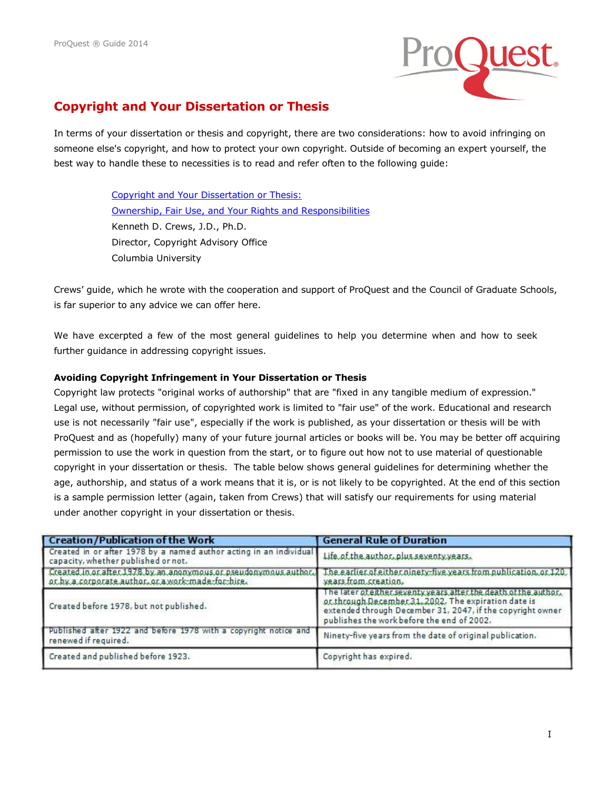

# **Copyright and Your Dissertation or Thesis**

In terms of your dissertation or thesis and copyright, there are two considerations: how to avoid infringing on someone else's copyright, and how to protect your own copyright. Outside of becoming an expert yourself, the best way to handle these to necessities is to read and refer often to the following guide:

> [Copyright and Your Dissertation or Thesis:](http://media2.proquest.com/documents/copyright_dissthesis_ownership.pdf)  [Ownership, Fair Use, and Your Rights and Responsibilities](http://media2.proquest.com/documents/copyright_dissthesis_ownership.pdf)  Kenneth D. Crews, J.D., Ph.D. Director, Copyright Advisory Office Columbia University

Crews' guide, which he wrote with the cooperation and support of ProQuest and the Council of Graduate Schools, is far superior to any advice we can offer here.

We have excerpted a few of the most general guidelines to help you determine when and how to seek further guidance in addressing copyright issues.

### **Avoiding Copyright Infringement in Your Dissertation or Thesis**

Copyright law protects "original works of authorship" that are "fixed in any tangible medium of expression." Legal use, without permission, of copyrighted work is limited to "fair use" of the work. Educational and research use is not necessarily "fair use", especially if the work is published, as your dissertation or thesis will be with ProQuest and as (hopefully) many of your future journal articles or books will be. You may be better off acquiring permission to use the work in question from the start, or to figure out how not to use material of questionable copyright in your dissertation or thesis. The table below shows general guidelines for determining whether the age, authorship, and status of a work means that it is, or is not likely to be copyrighted. At the end of this section is a sample permission letter (again, taken from Crews) that will satisfy our requirements for using material under another copyright in your dissertation or thesis.

| <b>Creation/Publication of the Work</b>                                                                                | <b>General Rule of Duration</b>                                                                                                                                                                                                      |
|------------------------------------------------------------------------------------------------------------------------|--------------------------------------------------------------------------------------------------------------------------------------------------------------------------------------------------------------------------------------|
| Created in or after 1978 by a named author acting in an individual<br>capacity, whether published or not.              | Life of the author, plus seventy years.                                                                                                                                                                                              |
| Created in or after 1978 by an anonymous or pseudonymous author.<br>or by a corporate author, or a work-made-for-hire. | The earlier of either ninety-five years from publication, or 120.<br>years from creation.                                                                                                                                            |
| Created before 1978, but not published.                                                                                | The later of either seventy years after the death of the author.<br>or through December 31, 2002. The expiration date is<br>extended through December 31, 2047, if the copyright owner<br>publishes the work before the end of 2002. |
| Published after 1922 and before 1978 with a copyright notice and<br>renewed if required.                               | Ninety-five years from the date of original publication.                                                                                                                                                                             |
| Created and published before 1923.                                                                                     | Copyright has expired.                                                                                                                                                                                                               |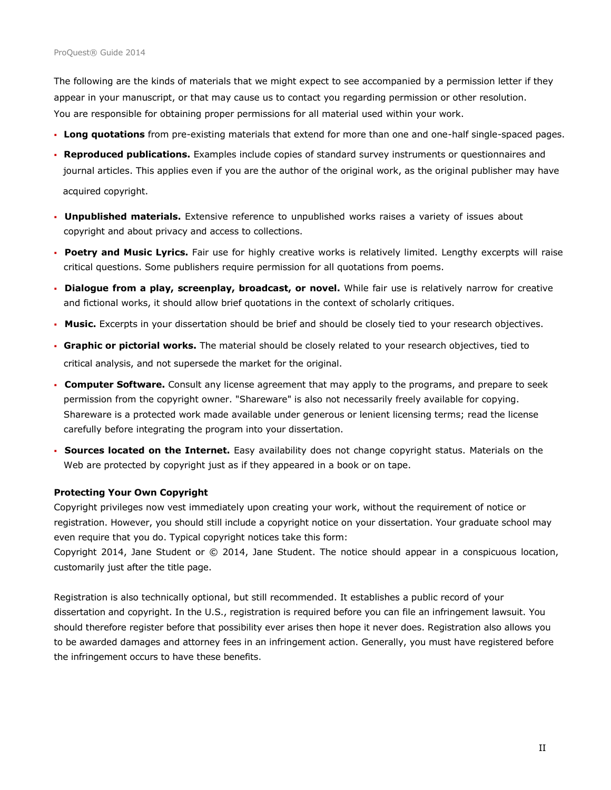The following are the kinds of materials that we might expect to see accompanied by a permission letter if they appear in your manuscript, or that may cause us to contact you regarding permission or other resolution. You are responsible for obtaining proper permissions for all material used within your work.

- **Long quotations** from pre-existing materials that extend for more than one and one-half single-spaced pages.
- **Reproduced publications.** Examples include copies of standard survey instruments or questionnaires and journal articles. This applies even if you are the author of the original work, as the original publisher may have acquired copyright.
- **Unpublished materials.** Extensive reference to unpublished works raises a variety of issues about copyright and about privacy and access to collections.
- **Poetry and Music Lyrics.** Fair use for highly creative works is relatively limited. Lengthy excerpts will raise critical questions. Some publishers require permission for all quotations from poems.
- **Dialogue from a play, screenplay, broadcast, or novel.** While fair use is relatively narrow for creative and fictional works, it should allow brief quotations in the context of scholarly critiques.
- **Music.** Excerpts in your dissertation should be brief and should be closely tied to your research objectives.
- **Graphic or pictorial works.** The material should be closely related to your research objectives, tied to critical analysis, and not supersede the market for the original.
- **Computer Software.** Consult any license agreement that may apply to the programs, and prepare to seek permission from the copyright owner. "Shareware" is also not necessarily freely available for copying. Shareware is a protected work made available under generous or lenient licensing terms; read the license carefully before integrating the program into your dissertation.
- **Sources located on the Internet.** Easy availability does not change copyright status. Materials on the Web are protected by copyright just as if they appeared in a book or on tape.

#### **Protecting Your Own Copyright**

Copyright privileges now vest immediately upon creating your work, without the requirement of notice or registration. However, you should still include a copyright notice on your dissertation. Your graduate school may even require that you do. Typical copyright notices take this form:

Copyright 2014, Jane Student or © 2014, Jane Student. The notice should appear in a conspicuous location, customarily just after the title page.

Registration is also technically optional, but still recommended. It establishes a public record of your dissertation and copyright. In the U.S., registration is required before you can file an infringement lawsuit. You should therefore register before that possibility ever arises then hope it never does. Registration also allows you to be awarded damages and attorney fees in an infringement action. Generally, you must have registered before the infringement occurs to have these benefits.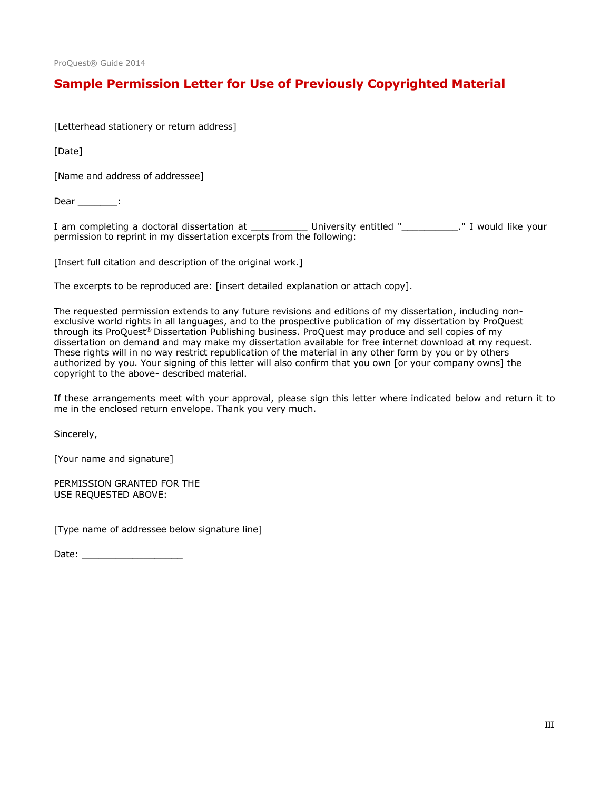## **Sample Permission Letter for Use of Previously Copyrighted Material**

[Letterhead stationery or return address]

[Date]

[Name and address of addressee]

Dear \_\_\_\_\_\_\_\_:

I am completing a doctoral dissertation at \_\_\_\_\_\_\_\_\_\_\_\_\_ University entitled "\_\_\_\_\_\_\_\_\_\_\_." I would like your permission to reprint in my dissertation excerpts from the following:

[Insert full citation and description of the original work.]

The excerpts to be reproduced are: [insert detailed explanation or attach copy].

The requested permission extends to any future revisions and editions of my dissertation, including nonexclusive world rights in all languages, and to the prospective publication of my dissertation by ProQuest through its ProQuest® Dissertation Publishing business. ProQuest may produce and sell copies of my dissertation on demand and may make my dissertation available for free internet download at my request. These rights will in no way restrict republication of the material in any other form by you or by others authorized by you. Your signing of this letter will also confirm that you own [or your company owns] the copyright to the above- described material.

If these arrangements meet with your approval, please sign this letter where indicated below and return it to me in the enclosed return envelope. Thank you very much.

Sincerely,

[Your name and signature]

PERMISSION GRANTED FOR THE USE REQUESTED ABOVE:

[Type name of addressee below signature line]

Date: \_\_\_\_\_\_\_\_\_\_\_\_\_\_\_\_\_\_